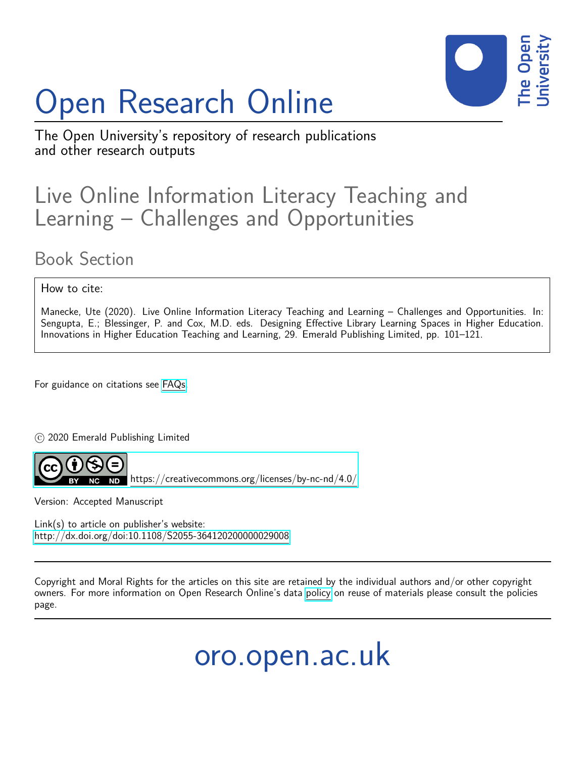# Open Research Online



The Open University's repository of research publications and other research outputs

# Live Online Information Literacy Teaching and Learning – Challenges and Opportunities

## Book Section

How to cite:

Manecke, Ute (2020). Live Online Information Literacy Teaching and Learning – Challenges and Opportunities. In: Sengupta, E.; Blessinger, P. and Cox, M.D. eds. Designing Effective Library Learning Spaces in Higher Education. Innovations in Higher Education Teaching and Learning, 29. Emerald Publishing Limited, pp. 101–121.

For guidance on citations see [FAQs.](http://oro.open.ac.uk/help/helpfaq.html)

c 2020 Emerald Publishing Limited



Version: Accepted Manuscript

Link(s) to article on publisher's website: <http://dx.doi.org/doi:10.1108/S2055-364120200000029008>

Copyright and Moral Rights for the articles on this site are retained by the individual authors and/or other copyright owners. For more information on Open Research Online's data [policy](http://oro.open.ac.uk/policies.html) on reuse of materials please consult the policies page.

oro.open.ac.uk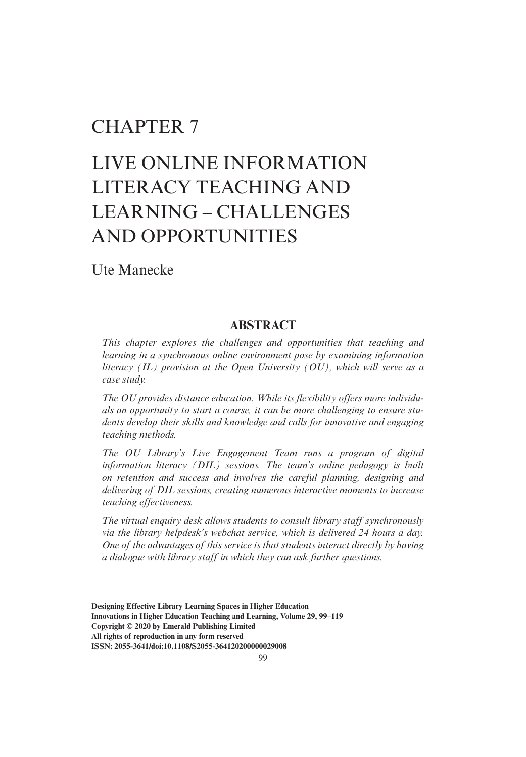### **CHAPTER 7**

## Live Online Information Literacy Teaching and Learning – Challenges and Opportunities

Ute Manecke

#### **ABSTRACT**

*This chapter explores the challenges and opportunities that teaching and learning in a synchronous online environment pose by examining information literacy (IL) provision at the Open University (OU), which will serve as a case study.*

*The OU provides distance education. While its flexibility offers more individuals an opportunity to start a course, it can be more challenging to ensure students develop their skills and knowledge and calls for innovative and engaging teaching methods.*

*The OU Library's Live Engagement Team runs a program of digital information literacy (DIL) sessions. The team's online pedagogy is built on retention and success and involves the careful planning, designing and delivering of DIL sessions, creating numerous interactive moments to increase teaching effectiveness.*

*The virtual enquiry desk allows students to consult library staff synchronously via the library helpdesk's webchat service, which is delivered 24 hours a day. One of the advantages of this service is that students interact directly by having a dialogue with library staff in which they can ask further questions.*

**Designing Effective Library Learning Spaces in Higher Education**

**Innovations in Higher Education Teaching and Learning, Volume 29, 99–119**

**Copyright © 2020 by Emerald Publishing Limited All rights of reproduction in any form reserved**

**ISSN: 2055-3641/doi:10.1108/S2055-364120200000029008**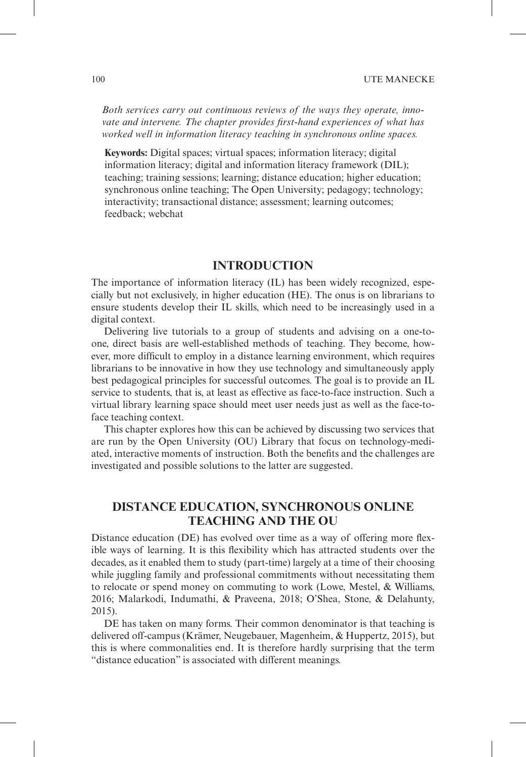#### 100 UTE MANECKE

*Both services carry out continuous reviews of the ways they operate, innovate and intervene. The chapter provides first-hand experiences of what has worked well in information literacy teaching in synchronous online spaces.*

**Keywords:** Digital spaces; virtual spaces; information literacy; digital information literacy; digital and information literacy framework (DIL); teaching; training sessions; learning; distance education; higher education; synchronous online teaching; The Open University; pedagogy; technology; interactivity; transactional distance; assessment; learning outcomes; feedback; webchat

#### **Introduction**

The importance of information literacy (IL) has been widely recognized, especially but not exclusively, in higher education (HE). The onus is on librarians to ensure students develop their IL skills, which need to be increasingly used in a digital context.

Delivering live tutorials to a group of students and advising on a one-toone, direct basis are well-established methods of teaching. They become, however, more difficult to employ in a distance learning environment, which requires librarians to be innovative in how they use technology and simultaneously apply best pedagogical principles for successful outcomes. The goal is to provide an IL service to students, that is, at least as effective as face-to-face instruction. Such a virtual library learning space should meet user needs just as well as the face-toface teaching context.

This chapter explores how this can be achieved by discussing two services that are run by the Open University (OU) Library that focus on technology-mediated, interactive moments of instruction. Both the benefits and the challenges are investigated and possible solutions to the latter are suggested.

#### **Distance Education, Synchronous Online Teaching and the OU**

Distance education (DE) has evolved over time as a way of offering more flexible ways of learning. It is this flexibility which has attracted students over the decades, as it enabled them to study (part-time) largely at a time of their choosing while juggling family and professional commitments without necessitating them to relocate or spend money on commuting to work (Lowe, Mestel, & Williams, 2016; Malarkodi, Indumathi, & Praveena, 2018; O'Shea, Stone, & Delahunty, 2015).

DE has taken on many forms. Their common denominator is that teaching is delivered off-campus (Krämer, Neugebauer, Magenheim, & Huppertz, 2015), but this is where commonalities end. It is therefore hardly surprising that the term "distance education" is associated with different meanings.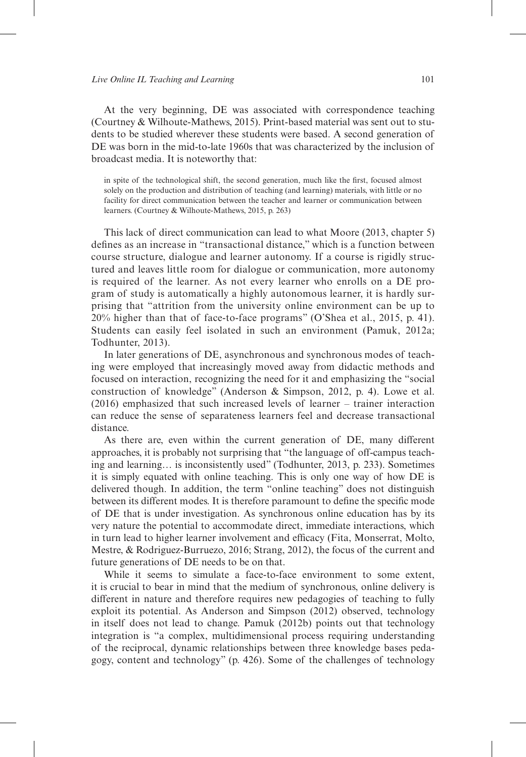At the very beginning, DE was associated with correspondence teaching (Courtney & Wilhoute-Mathews, 2015). Print-based material was sent out to students to be studied wherever these students were based. A second generation of DE was born in the mid-to-late 1960s that was characterized by the inclusion of broadcast media. It is noteworthy that:

in spite of the technological shift, the second generation, much like the first, focused almost solely on the production and distribution of teaching (and learning) materials, with little or no facility for direct communication between the teacher and learner or communication between learners. (Courtney & Wilhoute-Mathews, 2015, p. 263)

This lack of direct communication can lead to what Moore (2013, chapter 5) defines as an increase in "transactional distance," which is a function between course structure, dialogue and learner autonomy. If a course is rigidly structured and leaves little room for dialogue or communication, more autonomy is required of the learner. As not every learner who enrolls on a DE program of study is automatically a highly autonomous learner, it is hardly surprising that "attrition from the university online environment can be up to 20% higher than that of face-to-face programs" (O'Shea et al., 2015, p. 41). Students can easily feel isolated in such an environment (Pamuk, 2012a; Todhunter, 2013).

In later generations of DE, asynchronous and synchronous modes of teaching were employed that increasingly moved away from didactic methods and focused on interaction, recognizing the need for it and emphasizing the "social construction of knowledge" (Anderson & Simpson, 2012, p. 4). Lowe et al. (2016) emphasized that such increased levels of learner – trainer interaction can reduce the sense of separateness learners feel and decrease transactional distance.

As there are, even within the current generation of DE, many different approaches, it is probably not surprising that "the language of off-campus teaching and learning… is inconsistently used" (Todhunter, 2013, p. 233). Sometimes it is simply equated with online teaching. This is only one way of how DE is delivered though. In addition, the term "online teaching" does not distinguish between its different modes. It is therefore paramount to define the specific mode of DE that is under investigation. As synchronous online education has by its very nature the potential to accommodate direct, immediate interactions, which in turn lead to higher learner involvement and efficacy (Fita, Monserrat, Molto, Mestre, & Rodriguez-Burruezo, 2016; Strang, 2012), the focus of the current and future generations of DE needs to be on that.

While it seems to simulate a face-to-face environment to some extent, it is crucial to bear in mind that the medium of synchronous, online delivery is different in nature and therefore requires new pedagogies of teaching to fully exploit its potential. As Anderson and Simpson (2012) observed, technology in itself does not lead to change. Pamuk (2012b) points out that technology integration is "a complex, multidimensional process requiring understanding of the reciprocal, dynamic relationships between three knowledge bases pedagogy, content and technology" (p. 426). Some of the challenges of technology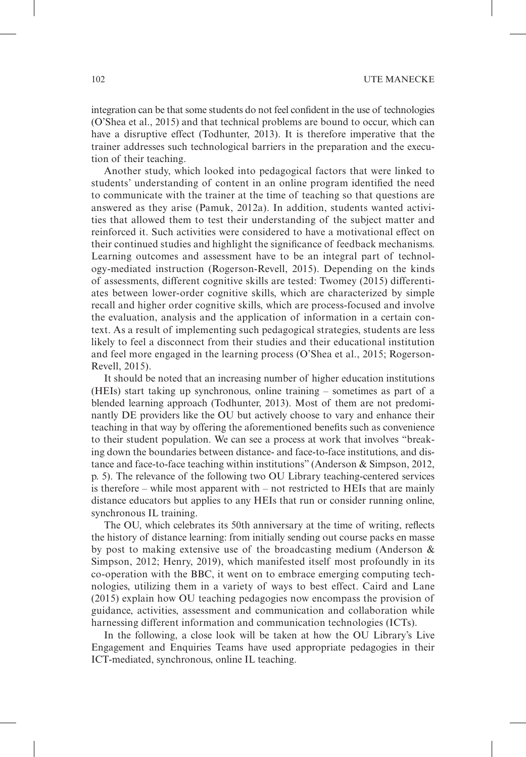integration can be that some students do not feel confident in the use of technologies (O'Shea et al., 2015) and that technical problems are bound to occur, which can have a disruptive effect (Todhunter, 2013). It is therefore imperative that the trainer addresses such technological barriers in the preparation and the execution of their teaching.

Another study, which looked into pedagogical factors that were linked to students' understanding of content in an online program identified the need to communicate with the trainer at the time of teaching so that questions are answered as they arise (Pamuk, 2012a). In addition, students wanted activities that allowed them to test their understanding of the subject matter and reinforced it. Such activities were considered to have a motivational effect on their continued studies and highlight the significance of feedback mechanisms. Learning outcomes and assessment have to be an integral part of technology-mediated instruction (Rogerson-Revell, 2015). Depending on the kinds of assessments, different cognitive skills are tested: Twomey (2015) differentiates between lower-order cognitive skills, which are characterized by simple recall and higher order cognitive skills, which are process-focused and involve the evaluation, analysis and the application of information in a certain context. As a result of implementing such pedagogical strategies, students are less likely to feel a disconnect from their studies and their educational institution and feel more engaged in the learning process (O'Shea et al., 2015; Rogerson-Revell, 2015).

It should be noted that an increasing number of higher education institutions (HEIs) start taking up synchronous, online training – sometimes as part of a blended learning approach (Todhunter, 2013). Most of them are not predominantly DE providers like the OU but actively choose to vary and enhance their teaching in that way by offering the aforementioned benefits such as convenience to their student population. We can see a process at work that involves "breaking down the boundaries between distance- and face-to-face institutions, and distance and face-to-face teaching within institutions" (Anderson & Simpson, 2012, p. 5). The relevance of the following two OU Library teaching-centered services is therefore – while most apparent with – not restricted to HEIs that are mainly distance educators but applies to any HEIs that run or consider running online, synchronous IL training.

The OU, which celebrates its 50th anniversary at the time of writing, reflects the history of distance learning: from initially sending out course packs en masse by post to making extensive use of the broadcasting medium (Anderson & Simpson, 2012; Henry, 2019), which manifested itself most profoundly in its co-operation with the BBC, it went on to embrace emerging computing technologies, utilizing them in a variety of ways to best effect. Caird and Lane (2015) explain how OU teaching pedagogies now encompass the provision of guidance, activities, assessment and communication and collaboration while harnessing different information and communication technologies (ICTs).

In the following, a close look will be taken at how the OU Library's Live Engagement and Enquiries Teams have used appropriate pedagogies in their ICT-mediated, synchronous, online IL teaching.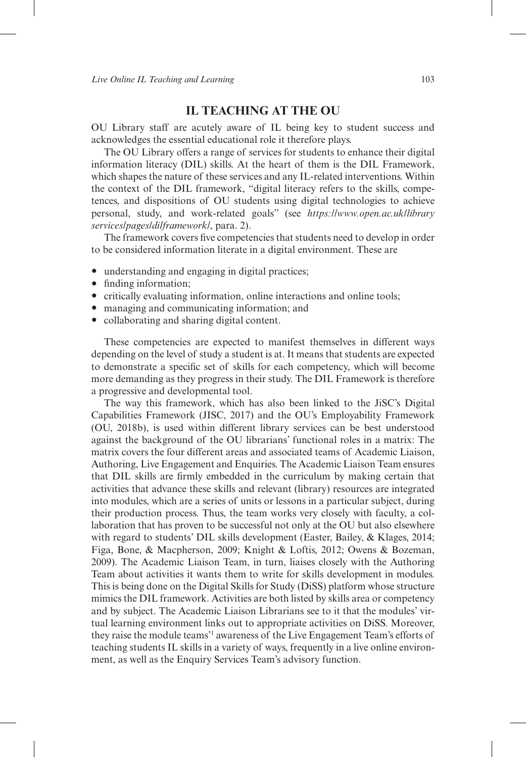#### **IL Teaching at the OU**

OU Library staff are acutely aware of IL being key to student success and acknowledges the essential educational role it therefore plays.

The OU Library offers a range of services for students to enhance their digital information literacy (DIL) skills. At the heart of them is the DIL Framework, which shapes the nature of these services and any IL-related interventions. Within the context of the DIL framework, "digital literacy refers to the skills, competences, and dispositions of OU students using digital technologies to achieve personal, study, and work-related goals" (see *https://www.open.ac.uk/library services/pages/dilframework/*, para. 2).

The framework covers five competencies that students need to develop in order to be considered information literate in a digital environment. These are

- understanding and engaging in digital practices;
- finding information;
- critically evaluating information, online interactions and online tools;
- managing and communicating information; and
- collaborating and sharing digital content.

These competencies are expected to manifest themselves in different ways depending on the level of study a student is at. It means that students are expected to demonstrate a specific set of skills for each competency, which will become more demanding as they progress in their study. The DIL Framework is therefore a progressive and developmental tool.

The way this framework, which has also been linked to the JiSC's Digital Capabilities Framework (JISC, 2017) and the OU's Employability Framework (OU, 2018b), is used within different library services can be best understood against the background of the OU librarians' functional roles in a matrix: The matrix covers the four different areas and associated teams of Academic Liaison, Authoring, Live Engagement and Enquiries. The Academic Liaison Team ensures that DIL skills are firmly embedded in the curriculum by making certain that activities that advance these skills and relevant (library) resources are integrated into modules, which are a series of units or lessons in a particular subject, during their production process. Thus, the team works very closely with faculty, a collaboration that has proven to be successful not only at the OU but also elsewhere with regard to students' DIL skills development (Easter, Bailey, & Klages, 2014; Figa, Bone, & Macpherson, 2009; Knight & Loftis, 2012; Owens & Bozeman, 2009). The Academic Liaison Team, in turn, liaises closely with the Authoring Team about activities it wants them to write for skills development in modules. This is being done on the Digital Skills for Study (DiSS) platform whose structure mimics the DIL framework. Activities are both listed by skills area or competency and by subject. The Academic Liaison Librarians see to it that the modules' virtual learning environment links out to appropriate activities on DiSS. Moreover, they raise the module teams<sup>1</sup> awareness of the Live Engagement Team's efforts of teaching students IL skills in a variety of ways, frequently in a live online environment, as well as the Enquiry Services Team's advisory function.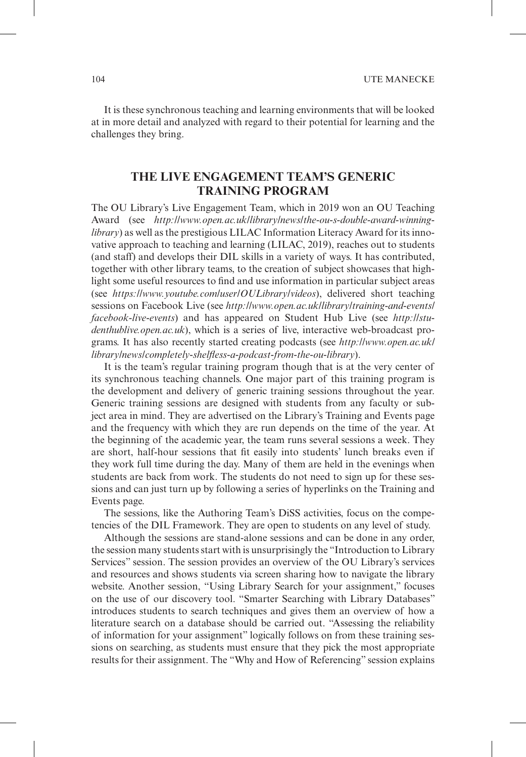It is these synchronous teaching and learning environments that will be looked at in more detail and analyzed with regard to their potential for learning and the challenges they bring.

#### **The Live Engagement Team's Generic Training Program**

The OU Library's Live Engagement Team, which in 2019 won an OU Teaching Award (see *http://www.open.ac.uk/library/news/the-ou-s-double-award-winninglibrary*) as well as the prestigious LILAC Information Literacy Award for its innovative approach to teaching and learning (LILAC, 2019), reaches out to students (and staff) and develops their DIL skills in a variety of ways. It has contributed, together with other library teams, to the creation of subject showcases that highlight some useful resources to find and use information in particular subject areas (see *https://www.youtube.com/user/OULibrary/videos*), delivered short teaching sessions on Facebook Live (see *http://www.open.ac.uk/library/training-and-events/ facebook-live-events*) and has appeared on Student Hub Live (see *http://studenthublive.open.ac.uk*), which is a series of live, interactive web-broadcast programs. It has also recently started creating podcasts (see *http://www.open.ac.uk/ library/news/completely-shelfless-a-podcast-from-the-ou-library*).

It is the team's regular training program though that is at the very center of its synchronous teaching channels. One major part of this training program is the development and delivery of generic training sessions throughout the year. Generic training sessions are designed with students from any faculty or subject area in mind. They are advertised on the Library's Training and Events page and the frequency with which they are run depends on the time of the year. At the beginning of the academic year, the team runs several sessions a week. They are short, half-hour sessions that fit easily into students' lunch breaks even if they work full time during the day. Many of them are held in the evenings when students are back from work. The students do not need to sign up for these sessions and can just turn up by following a series of hyperlinks on the Training and Events page.

The sessions, like the Authoring Team's DiSS activities, focus on the competencies of the DIL Framework. They are open to students on any level of study.

Although the sessions are stand-alone sessions and can be done in any order, the session many students start with is unsurprisingly the "Introduction to Library Services" session. The session provides an overview of the OU Library's services and resources and shows students via screen sharing how to navigate the library website. Another session, "Using Library Search for your assignment," focuses on the use of our discovery tool. "Smarter Searching with Library Databases" introduces students to search techniques and gives them an overview of how a literature search on a database should be carried out. "Assessing the reliability of information for your assignment" logically follows on from these training sessions on searching, as students must ensure that they pick the most appropriate results for their assignment. The "Why and How of Referencing" session explains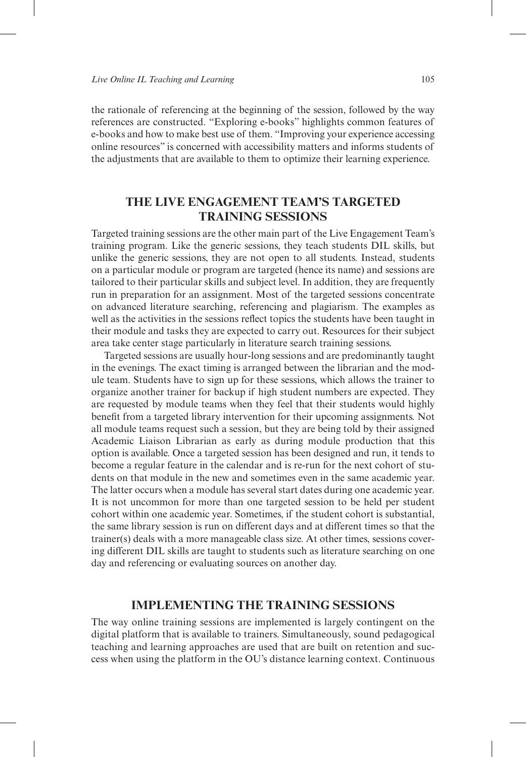the rationale of referencing at the beginning of the session, followed by the way references are constructed. "Exploring e-books" highlights common features of e-books and how to make best use of them. "Improving your experience accessing online resources" is concerned with accessibility matters and informs students of the adjustments that are available to them to optimize their learning experience.

#### **The Live Engagement Team's Targeted Training Sessions**

Targeted training sessions are the other main part of the Live Engagement Team's training program. Like the generic sessions, they teach students DIL skills, but unlike the generic sessions, they are not open to all students. Instead, students on a particular module or program are targeted (hence its name) and sessions are tailored to their particular skills and subject level. In addition, they are frequently run in preparation for an assignment. Most of the targeted sessions concentrate on advanced literature searching, referencing and plagiarism. The examples as well as the activities in the sessions reflect topics the students have been taught in their module and tasks they are expected to carry out. Resources for their subject area take center stage particularly in literature search training sessions.

Targeted sessions are usually hour-long sessions and are predominantly taught in the evenings. The exact timing is arranged between the librarian and the module team. Students have to sign up for these sessions, which allows the trainer to organize another trainer for backup if high student numbers are expected. They are requested by module teams when they feel that their students would highly benefit from a targeted library intervention for their upcoming assignments. Not all module teams request such a session, but they are being told by their assigned Academic Liaison Librarian as early as during module production that this option is available. Once a targeted session has been designed and run, it tends to become a regular feature in the calendar and is re-run for the next cohort of students on that module in the new and sometimes even in the same academic year. The latter occurs when a module has several start dates during one academic year. It is not uncommon for more than one targeted session to be held per student cohort within one academic year. Sometimes, if the student cohort is substantial, the same library session is run on different days and at different times so that the trainer(s) deals with a more manageable class size. At other times, sessions covering different DIL skills are taught to students such as literature searching on one day and referencing or evaluating sources on another day.

#### **Implementing the Training Sessions**

The way online training sessions are implemented is largely contingent on the digital platform that is available to trainers. Simultaneously, sound pedagogical teaching and learning approaches are used that are built on retention and success when using the platform in the OU's distance learning context. Continuous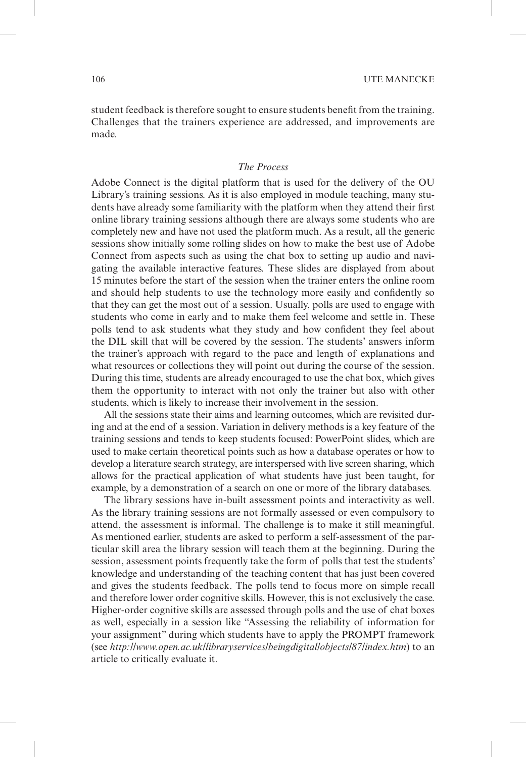student feedback is therefore sought to ensure students benefit from the training. Challenges that the trainers experience are addressed, and improvements are made.

#### *The Process*

Adobe Connect is the digital platform that is used for the delivery of the OU Library's training sessions. As it is also employed in module teaching, many students have already some familiarity with the platform when they attend their first online library training sessions although there are always some students who are completely new and have not used the platform much. As a result, all the generic sessions show initially some rolling slides on how to make the best use of Adobe Connect from aspects such as using the chat box to setting up audio and navigating the available interactive features. These slides are displayed from about 15 minutes before the start of the session when the trainer enters the online room and should help students to use the technology more easily and confidently so that they can get the most out of a session. Usually, polls are used to engage with students who come in early and to make them feel welcome and settle in. These polls tend to ask students what they study and how confident they feel about the DIL skill that will be covered by the session. The students' answers inform the trainer's approach with regard to the pace and length of explanations and what resources or collections they will point out during the course of the session. During this time, students are already encouraged to use the chat box, which gives them the opportunity to interact with not only the trainer but also with other students, which is likely to increase their involvement in the session.

All the sessions state their aims and learning outcomes, which are revisited during and at the end of a session. Variation in delivery methods is a key feature of the training sessions and tends to keep students focused: PowerPoint slides, which are used to make certain theoretical points such as how a database operates or how to develop a literature search strategy, are interspersed with live screen sharing, which allows for the practical application of what students have just been taught, for example, by a demonstration of a search on one or more of the library databases.

The library sessions have in-built assessment points and interactivity as well. As the library training sessions are not formally assessed or even compulsory to attend, the assessment is informal. The challenge is to make it still meaningful. As mentioned earlier, students are asked to perform a self-assessment of the particular skill area the library session will teach them at the beginning. During the session, assessment points frequently take the form of polls that test the students' knowledge and understanding of the teaching content that has just been covered and gives the students feedback. The polls tend to focus more on simple recall and therefore lower order cognitive skills. However, this is not exclusively the case. Higher-order cognitive skills are assessed through polls and the use of chat boxes as well, especially in a session like "Assessing the reliability of information for your assignment" during which students have to apply the PROMPT framework (see *http://www.open.ac.uk/libraryservices/beingdigital/objects/87/index.htm*) to an article to critically evaluate it.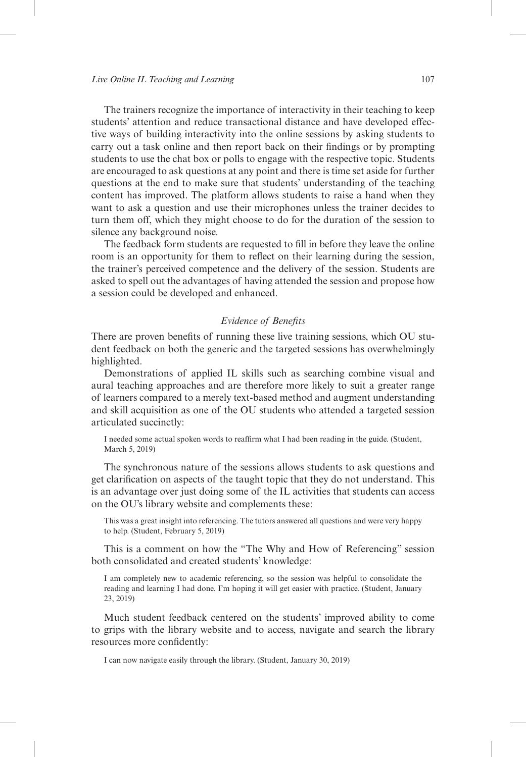The trainers recognize the importance of interactivity in their teaching to keep students' attention and reduce transactional distance and have developed effective ways of building interactivity into the online sessions by asking students to carry out a task online and then report back on their findings or by prompting students to use the chat box or polls to engage with the respective topic. Students are encouraged to ask questions at any point and there is time set aside for further questions at the end to make sure that students' understanding of the teaching content has improved. The platform allows students to raise a hand when they want to ask a question and use their microphones unless the trainer decides to turn them off, which they might choose to do for the duration of the session to silence any background noise.

The feedback form students are requested to fill in before they leave the online room is an opportunity for them to reflect on their learning during the session, the trainer's perceived competence and the delivery of the session. Students are asked to spell out the advantages of having attended the session and propose how a session could be developed and enhanced.

#### *Evidence of Benefits*

There are proven benefits of running these live training sessions, which OU student feedback on both the generic and the targeted sessions has overwhelmingly highlighted.

Demonstrations of applied IL skills such as searching combine visual and aural teaching approaches and are therefore more likely to suit a greater range of learners compared to a merely text-based method and augment understanding and skill acquisition as one of the OU students who attended a targeted session articulated succinctly:

I needed some actual spoken words to reaffirm what I had been reading in the guide. (Student, March 5, 2019)

The synchronous nature of the sessions allows students to ask questions and get clarification on aspects of the taught topic that they do not understand. This is an advantage over just doing some of the IL activities that students can access on the OU's library website and complements these:

This was a great insight into referencing. The tutors answered all questions and were very happy to help. (Student, February 5, 2019)

This is a comment on how the "The Why and How of Referencing" session both consolidated and created students' knowledge:

I am completely new to academic referencing, so the session was helpful to consolidate the reading and learning I had done. I'm hoping it will get easier with practice. (Student, January 23, 2019)

Much student feedback centered on the students' improved ability to come to grips with the library website and to access, navigate and search the library resources more confidently:

I can now navigate easily through the library. (Student, January 30, 2019)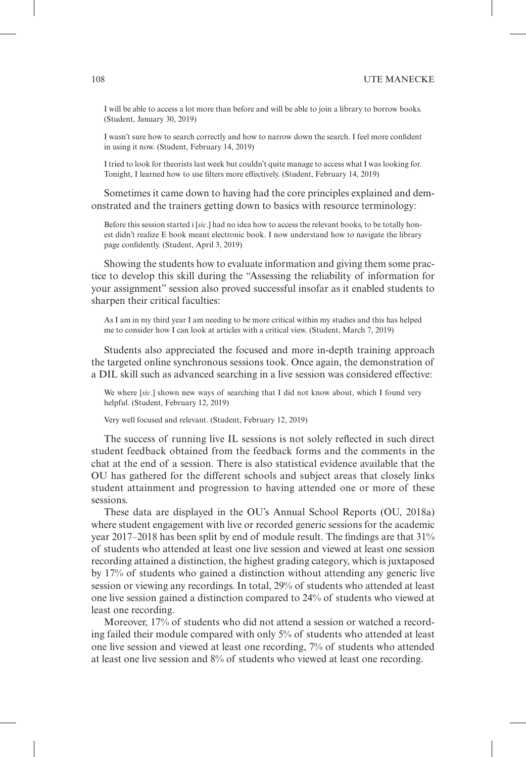I will be able to access a lot more than before and will be able to join a library to borrow books. (Student, January 30, 2019)

I wasn't sure how to search correctly and how to narrow down the search. I feel more confident in using it now. (Student, February 14, 2019)

I tried to look for theorists last week but couldn't quite manage to access what I was looking for. Tonight, I learned how to use filters more effectively. (Student, February 14, 2019)

Sometimes it came down to having had the core principles explained and demonstrated and the trainers getting down to basics with resource terminology:

Before this session started i [*sic*.] had no idea how to access the relevant books, to be totally honest didn't realize E book meant electronic book. I now understand how to navigate the library page confidently. (Student, April 3, 2019)

Showing the students how to evaluate information and giving them some practice to develop this skill during the "Assessing the reliability of information for your assignment" session also proved successful insofar as it enabled students to sharpen their critical faculties:

As I am in my third year I am needing to be more critical within my studies and this has helped me to consider how I can look at articles with a critical view. (Student, March 7, 2019)

Students also appreciated the focused and more in-depth training approach the targeted online synchronous sessions took. Once again, the demonstration of a DIL skill such as advanced searching in a live session was considered effective:

We where [*sic*.] shown new ways of searching that I did not know about, which I found very helpful. (Student, February 12, 2019)

Very well focused and relevant. (Student, February 12, 2019)

The success of running live IL sessions is not solely reflected in such direct student feedback obtained from the feedback forms and the comments in the chat at the end of a session. There is also statistical evidence available that the OU has gathered for the different schools and subject areas that closely links student attainment and progression to having attended one or more of these sessions.

These data are displayed in the OU's Annual School Reports (OU, 2018a) where student engagement with live or recorded generic sessions for the academic year 2017–2018 has been split by end of module result. The findings are that 31% of students who attended at least one live session and viewed at least one session recording attained a distinction, the highest grading category, which is juxtaposed by 17% of students who gained a distinction without attending any generic live session or viewing any recordings. In total, 29% of students who attended at least one live session gained a distinction compared to 24% of students who viewed at least one recording.

Moreover, 17% of students who did not attend a session or watched a recording failed their module compared with only 5% of students who attended at least one live session and viewed at least one recording, 7% of students who attended at least one live session and 8% of students who viewed at least one recording.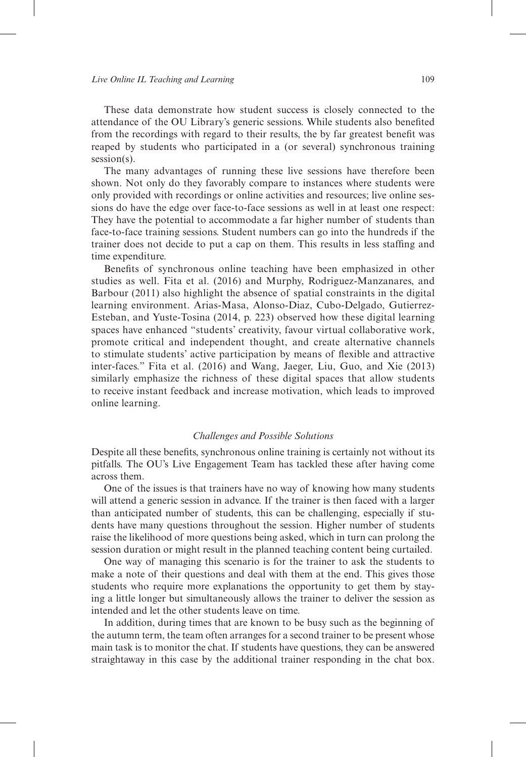These data demonstrate how student success is closely connected to the attendance of the OU Library's generic sessions. While students also benefited from the recordings with regard to their results, the by far greatest benefit was reaped by students who participated in a (or several) synchronous training session(s).

The many advantages of running these live sessions have therefore been shown. Not only do they favorably compare to instances where students were only provided with recordings or online activities and resources; live online sessions do have the edge over face-to-face sessions as well in at least one respect: They have the potential to accommodate a far higher number of students than face-to-face training sessions. Student numbers can go into the hundreds if the trainer does not decide to put a cap on them. This results in less staffing and time expenditure.

Benefits of synchronous online teaching have been emphasized in other studies as well. Fita et al. (2016) and Murphy, Rodriguez-Manzanares, and Barbour (2011) also highlight the absence of spatial constraints in the digital learning environment. Arias-Masa, Alonso-Diaz, Cubo-Delgado, Gutierrez-Esteban, and Yuste-Tosina (2014, p. 223) observed how these digital learning spaces have enhanced "students' creativity, favour virtual collaborative work, promote critical and independent thought, and create alternative channels to stimulate students' active participation by means of flexible and attractive inter-faces." Fita et al. (2016) and Wang, Jaeger, Liu, Guo, and Xie (2013) similarly emphasize the richness of these digital spaces that allow students to receive instant feedback and increase motivation, which leads to improved online learning.

#### *Challenges and Possible Solutions*

Despite all these benefits, synchronous online training is certainly not without its pitfalls. The OU's Live Engagement Team has tackled these after having come across them.

One of the issues is that trainers have no way of knowing how many students will attend a generic session in advance. If the trainer is then faced with a larger than anticipated number of students, this can be challenging, especially if students have many questions throughout the session. Higher number of students raise the likelihood of more questions being asked, which in turn can prolong the session duration or might result in the planned teaching content being curtailed.

One way of managing this scenario is for the trainer to ask the students to make a note of their questions and deal with them at the end. This gives those students who require more explanations the opportunity to get them by staying a little longer but simultaneously allows the trainer to deliver the session as intended and let the other students leave on time.

In addition, during times that are known to be busy such as the beginning of the autumn term, the team often arranges for a second trainer to be present whose main task is to monitor the chat. If students have questions, they can be answered straightaway in this case by the additional trainer responding in the chat box.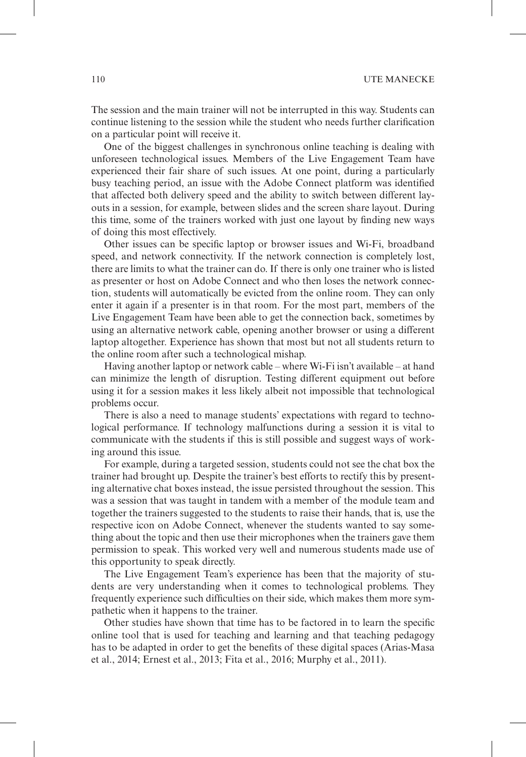The session and the main trainer will not be interrupted in this way. Students can continue listening to the session while the student who needs further clarification on a particular point will receive it.

One of the biggest challenges in synchronous online teaching is dealing with unforeseen technological issues. Members of the Live Engagement Team have experienced their fair share of such issues. At one point, during a particularly busy teaching period, an issue with the Adobe Connect platform was identified that affected both delivery speed and the ability to switch between different layouts in a session, for example, between slides and the screen share layout. During this time, some of the trainers worked with just one layout by finding new ways of doing this most effectively.

Other issues can be specific laptop or browser issues and Wi-Fi, broadband speed, and network connectivity. If the network connection is completely lost, there are limits to what the trainer can do. If there is only one trainer who is listed as presenter or host on Adobe Connect and who then loses the network connection, students will automatically be evicted from the online room. They can only enter it again if a presenter is in that room. For the most part, members of the Live Engagement Team have been able to get the connection back, sometimes by using an alternative network cable, opening another browser or using a different laptop altogether. Experience has shown that most but not all students return to the online room after such a technological mishap.

Having another laptop or network cable – where Wi-Fi isn't available – at hand can minimize the length of disruption. Testing different equipment out before using it for a session makes it less likely albeit not impossible that technological problems occur.

There is also a need to manage students' expectations with regard to technological performance. If technology malfunctions during a session it is vital to communicate with the students if this is still possible and suggest ways of working around this issue.

For example, during a targeted session, students could not see the chat box the trainer had brought up. Despite the trainer's best efforts to rectify this by presenting alternative chat boxes instead, the issue persisted throughout the session. This was a session that was taught in tandem with a member of the module team and together the trainers suggested to the students to raise their hands, that is, use the respective icon on Adobe Connect, whenever the students wanted to say something about the topic and then use their microphones when the trainers gave them permission to speak. This worked very well and numerous students made use of this opportunity to speak directly.

The Live Engagement Team's experience has been that the majority of students are very understanding when it comes to technological problems. They frequently experience such difficulties on their side, which makes them more sympathetic when it happens to the trainer.

Other studies have shown that time has to be factored in to learn the specific online tool that is used for teaching and learning and that teaching pedagogy has to be adapted in order to get the benefits of these digital spaces (Arias-Masa et al., 2014; Ernest et al., 2013; Fita et al., 2016; Murphy et al., 2011).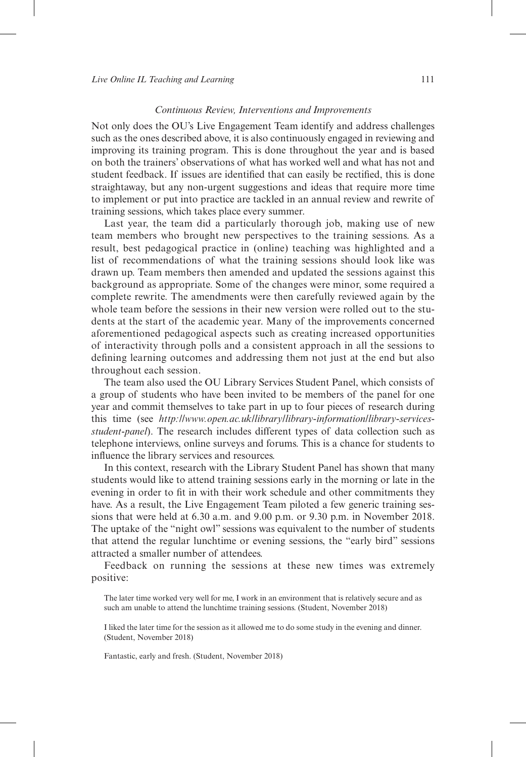#### *Continuous Review, Interventions and Improvements*

Not only does the OU's Live Engagement Team identify and address challenges such as the ones described above, it is also continuously engaged in reviewing and improving its training program. This is done throughout the year and is based on both the trainers' observations of what has worked well and what has not and student feedback. If issues are identified that can easily be rectified, this is done straightaway, but any non-urgent suggestions and ideas that require more time to implement or put into practice are tackled in an annual review and rewrite of training sessions, which takes place every summer.

Last year, the team did a particularly thorough job, making use of new team members who brought new perspectives to the training sessions. As a result, best pedagogical practice in (online) teaching was highlighted and a list of recommendations of what the training sessions should look like was drawn up. Team members then amended and updated the sessions against this background as appropriate. Some of the changes were minor, some required a complete rewrite. The amendments were then carefully reviewed again by the whole team before the sessions in their new version were rolled out to the students at the start of the academic year. Many of the improvements concerned aforementioned pedagogical aspects such as creating increased opportunities of interactivity through polls and a consistent approach in all the sessions to defining learning outcomes and addressing them not just at the end but also throughout each session.

The team also used the OU Library Services Student Panel, which consists of a group of students who have been invited to be members of the panel for one year and commit themselves to take part in up to four pieces of research during this time (see *http://www.open.ac.uk/library/library-information/library-servicesstudent-panel*). The research includes different types of data collection such as telephone interviews, online surveys and forums. This is a chance for students to influence the library services and resources.

In this context, research with the Library Student Panel has shown that many students would like to attend training sessions early in the morning or late in the evening in order to fit in with their work schedule and other commitments they have. As a result, the Live Engagement Team piloted a few generic training sessions that were held at 6.30 a.m. and 9.00 p.m. or 9.30 p.m. in November 2018. The uptake of the "night owl" sessions was equivalent to the number of students that attend the regular lunchtime or evening sessions, the "early bird" sessions attracted a smaller number of attendees.

Feedback on running the sessions at these new times was extremely positive:

The later time worked very well for me, I work in an environment that is relatively secure and as such am unable to attend the lunchtime training sessions. (Student, November 2018)

I liked the later time for the session as it allowed me to do some study in the evening and dinner. (Student, November 2018)

Fantastic, early and fresh. (Student, November 2018)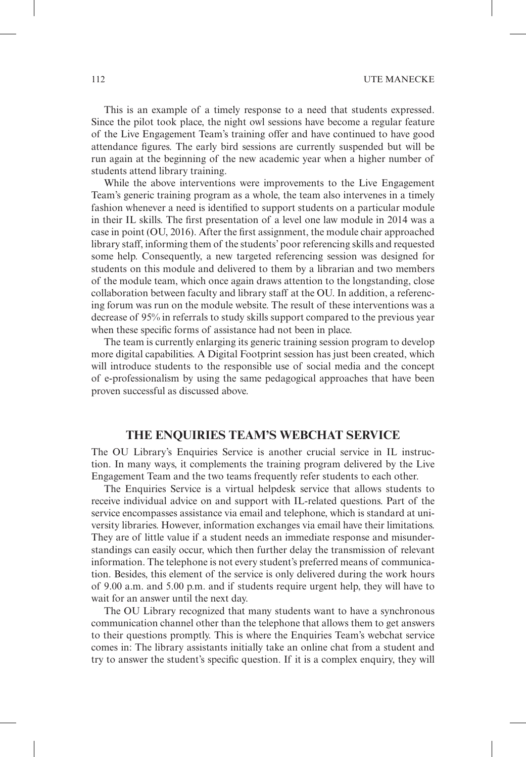This is an example of a timely response to a need that students expressed. Since the pilot took place, the night owl sessions have become a regular feature of the Live Engagement Team's training offer and have continued to have good attendance figures. The early bird sessions are currently suspended but will be run again at the beginning of the new academic year when a higher number of students attend library training.

While the above interventions were improvements to the Live Engagement Team's generic training program as a whole, the team also intervenes in a timely fashion whenever a need is identified to support students on a particular module in their IL skills. The first presentation of a level one law module in 2014 was a case in point (OU, 2016). After the first assignment, the module chair approached library staff, informing them of the students' poor referencing skills and requested some help. Consequently, a new targeted referencing session was designed for students on this module and delivered to them by a librarian and two members of the module team, which once again draws attention to the longstanding, close collaboration between faculty and library staff at the OU. In addition, a referencing forum was run on the module website. The result of these interventions was a decrease of 95% in referrals to study skills support compared to the previous year when these specific forms of assistance had not been in place.

The team is currently enlarging its generic training session program to develop more digital capabilities. A Digital Footprint session has just been created, which will introduce students to the responsible use of social media and the concept of e-professionalism by using the same pedagogical approaches that have been proven successful as discussed above.

#### **The Enquiries Team's Webchat Service**

The OU Library's Enquiries Service is another crucial service in IL instruction. In many ways, it complements the training program delivered by the Live Engagement Team and the two teams frequently refer students to each other.

The Enquiries Service is a virtual helpdesk service that allows students to receive individual advice on and support with IL-related questions. Part of the service encompasses assistance via email and telephone, which is standard at university libraries. However, information exchanges via email have their limitations. They are of little value if a student needs an immediate response and misunderstandings can easily occur, which then further delay the transmission of relevant information. The telephone is not every student's preferred means of communication. Besides, this element of the service is only delivered during the work hours of 9.00 a.m. and 5.00 p.m. and if students require urgent help, they will have to wait for an answer until the next day.

The OU Library recognized that many students want to have a synchronous communication channel other than the telephone that allows them to get answers to their questions promptly. This is where the Enquiries Team's webchat service comes in: The library assistants initially take an online chat from a student and try to answer the student's specific question. If it is a complex enquiry, they will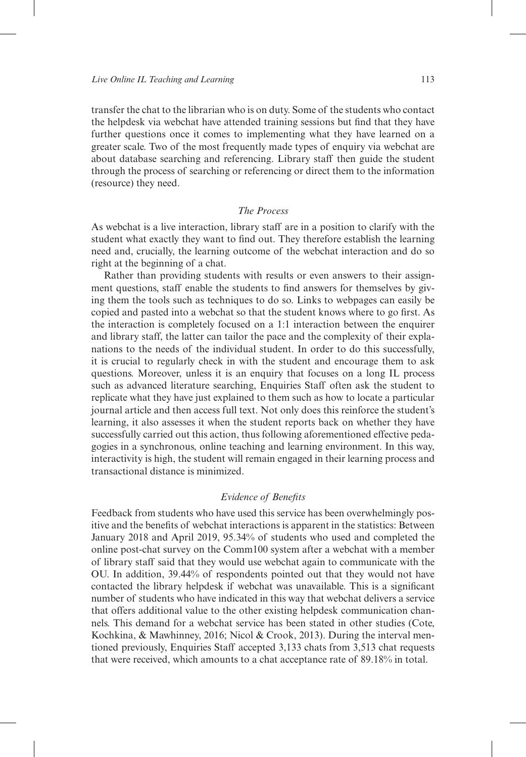transfer the chat to the librarian who is on duty. Some of the students who contact the helpdesk via webchat have attended training sessions but find that they have further questions once it comes to implementing what they have learned on a greater scale. Two of the most frequently made types of enquiry via webchat are about database searching and referencing. Library staff then guide the student through the process of searching or referencing or direct them to the information (resource) they need.

#### *The Process*

As webchat is a live interaction, library staff are in a position to clarify with the student what exactly they want to find out. They therefore establish the learning need and, crucially, the learning outcome of the webchat interaction and do so right at the beginning of a chat.

Rather than providing students with results or even answers to their assignment questions, staff enable the students to find answers for themselves by giving them the tools such as techniques to do so. Links to webpages can easily be copied and pasted into a webchat so that the student knows where to go first. As the interaction is completely focused on a 1:1 interaction between the enquirer and library staff, the latter can tailor the pace and the complexity of their explanations to the needs of the individual student. In order to do this successfully, it is crucial to regularly check in with the student and encourage them to ask questions. Moreover, unless it is an enquiry that focuses on a long IL process such as advanced literature searching, Enquiries Staff often ask the student to replicate what they have just explained to them such as how to locate a particular journal article and then access full text. Not only does this reinforce the student's learning, it also assesses it when the student reports back on whether they have successfully carried out this action, thus following aforementioned effective pedagogies in a synchronous, online teaching and learning environment. In this way, interactivity is high, the student will remain engaged in their learning process and transactional distance is minimized.

#### *Evidence of Benefits*

Feedback from students who have used this service has been overwhelmingly positive and the benefits of webchat interactions is apparent in the statistics: Between January 2018 and April 2019, 95.34% of students who used and completed the online post-chat survey on the Comm100 system after a webchat with a member of library staff said that they would use webchat again to communicate with the OU. In addition, 39.44% of respondents pointed out that they would not have contacted the library helpdesk if webchat was unavailable. This is a significant number of students who have indicated in this way that webchat delivers a service that offers additional value to the other existing helpdesk communication channels. This demand for a webchat service has been stated in other studies (Cote, Kochkina, & Mawhinney, 2016; Nicol & Crook, 2013). During the interval mentioned previously, Enquiries Staff accepted 3,133 chats from 3,513 chat requests that were received, which amounts to a chat acceptance rate of 89.18% in total.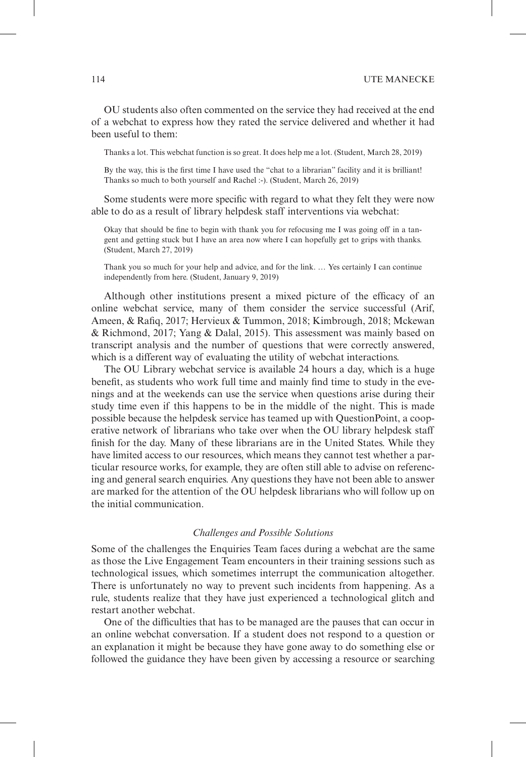OU students also often commented on the service they had received at the end of a webchat to express how they rated the service delivered and whether it had been useful to them:

Thanks a lot. This webchat function is so great. It does help me a lot. (Student, March 28, 2019)

By the way, this is the first time I have used the "chat to a librarian" facility and it is brilliant! Thanks so much to both yourself and Rachel :-). (Student, March 26, 2019)

Some students were more specific with regard to what they felt they were now able to do as a result of library helpdesk staff interventions via webchat:

Okay that should be fine to begin with thank you for refocusing me I was going off in a tangent and getting stuck but I have an area now where I can hopefully get to grips with thanks. (Student, March 27, 2019)

Thank you so much for your help and advice, and for the link. … Yes certainly I can continue independently from here. (Student, January 9, 2019)

Although other institutions present a mixed picture of the efficacy of an online webchat service, many of them consider the service successful (Arif, Ameen, & Rafiq, 2017; Hervieux & Tummon, 2018; Kimbrough, 2018; Mckewan & Richmond, 2017; Yang & Dalal, 2015). This assessment was mainly based on transcript analysis and the number of questions that were correctly answered, which is a different way of evaluating the utility of webchat interactions.

The OU Library webchat service is available 24 hours a day, which is a huge benefit, as students who work full time and mainly find time to study in the evenings and at the weekends can use the service when questions arise during their study time even if this happens to be in the middle of the night. This is made possible because the helpdesk service has teamed up with QuestionPoint, a cooperative network of librarians who take over when the OU library helpdesk staff finish for the day. Many of these librarians are in the United States. While they have limited access to our resources, which means they cannot test whether a particular resource works, for example, they are often still able to advise on referencing and general search enquiries. Any questions they have not been able to answer are marked for the attention of the OU helpdesk librarians who will follow up on the initial communication.

#### *Challenges and Possible Solutions*

Some of the challenges the Enquiries Team faces during a webchat are the same as those the Live Engagement Team encounters in their training sessions such as technological issues, which sometimes interrupt the communication altogether. There is unfortunately no way to prevent such incidents from happening. As a rule, students realize that they have just experienced a technological glitch and restart another webchat.

One of the difficulties that has to be managed are the pauses that can occur in an online webchat conversation. If a student does not respond to a question or an explanation it might be because they have gone away to do something else or followed the guidance they have been given by accessing a resource or searching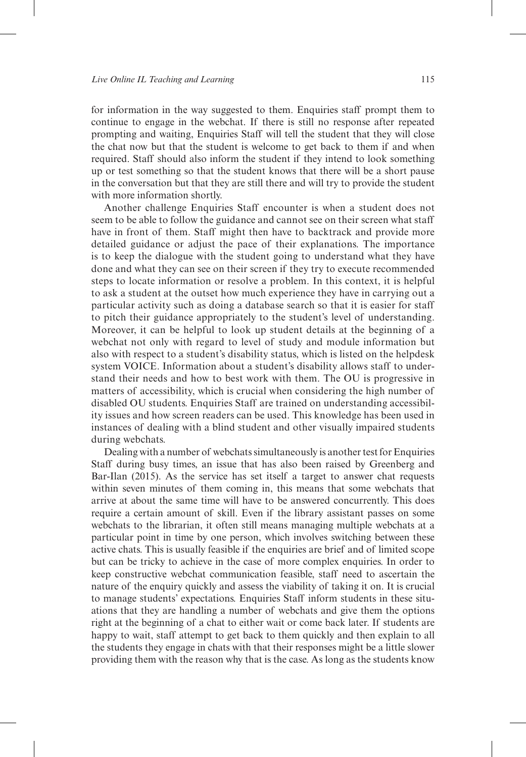for information in the way suggested to them. Enquiries staff prompt them to continue to engage in the webchat. If there is still no response after repeated prompting and waiting, Enquiries Staff will tell the student that they will close the chat now but that the student is welcome to get back to them if and when required. Staff should also inform the student if they intend to look something up or test something so that the student knows that there will be a short pause in the conversation but that they are still there and will try to provide the student with more information shortly.

Another challenge Enquiries Staff encounter is when a student does not seem to be able to follow the guidance and cannot see on their screen what staff have in front of them. Staff might then have to backtrack and provide more detailed guidance or adjust the pace of their explanations. The importance is to keep the dialogue with the student going to understand what they have done and what they can see on their screen if they try to execute recommended steps to locate information or resolve a problem. In this context, it is helpful to ask a student at the outset how much experience they have in carrying out a particular activity such as doing a database search so that it is easier for staff to pitch their guidance appropriately to the student's level of understanding. Moreover, it can be helpful to look up student details at the beginning of a webchat not only with regard to level of study and module information but also with respect to a student's disability status, which is listed on the helpdesk system VOICE. Information about a student's disability allows staff to understand their needs and how to best work with them. The OU is progressive in matters of accessibility, which is crucial when considering the high number of disabled OU students. Enquiries Staff are trained on understanding accessibility issues and how screen readers can be used. This knowledge has been used in instances of dealing with a blind student and other visually impaired students during webchats.

Dealing with a number of webchats simultaneously is another test for Enquiries Staff during busy times, an issue that has also been raised by Greenberg and Bar-Ilan (2015). As the service has set itself a target to answer chat requests within seven minutes of them coming in, this means that some webchats that arrive at about the same time will have to be answered concurrently. This does require a certain amount of skill. Even if the library assistant passes on some webchats to the librarian, it often still means managing multiple webchats at a particular point in time by one person, which involves switching between these active chats. This is usually feasible if the enquiries are brief and of limited scope but can be tricky to achieve in the case of more complex enquiries. In order to keep constructive webchat communication feasible, staff need to ascertain the nature of the enquiry quickly and assess the viability of taking it on. It is crucial to manage students' expectations. Enquiries Staff inform students in these situations that they are handling a number of webchats and give them the options right at the beginning of a chat to either wait or come back later. If students are happy to wait, staff attempt to get back to them quickly and then explain to all the students they engage in chats with that their responses might be a little slower providing them with the reason why that is the case. As long as the students know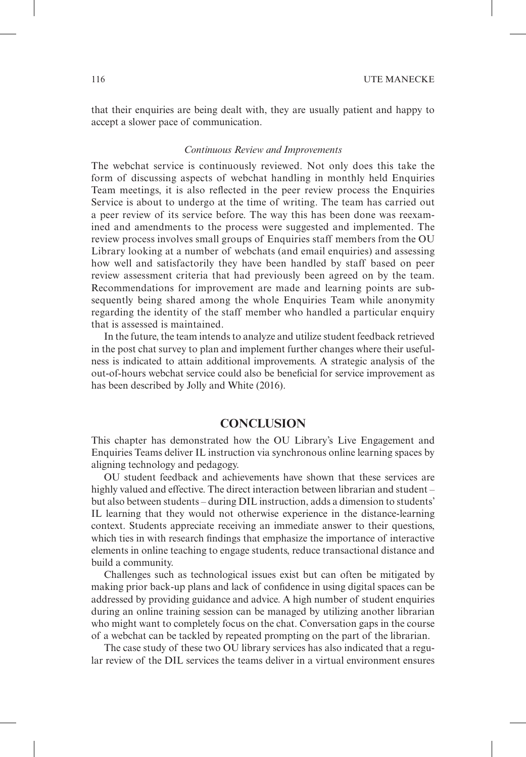that their enquiries are being dealt with, they are usually patient and happy to accept a slower pace of communication.

#### *Continuous Review and Improvements*

The webchat service is continuously reviewed. Not only does this take the form of discussing aspects of webchat handling in monthly held Enquiries Team meetings, it is also reflected in the peer review process the Enquiries Service is about to undergo at the time of writing. The team has carried out a peer review of its service before. The way this has been done was reexamined and amendments to the process were suggested and implemented. The review process involves small groups of Enquiries staff members from the OU Library looking at a number of webchats (and email enquiries) and assessing how well and satisfactorily they have been handled by staff based on peer review assessment criteria that had previously been agreed on by the team. Recommendations for improvement are made and learning points are subsequently being shared among the whole Enquiries Team while anonymity regarding the identity of the staff member who handled a particular enquiry that is assessed is maintained.

In the future, the team intends to analyze and utilize student feedback retrieved in the post chat survey to plan and implement further changes where their usefulness is indicated to attain additional improvements. A strategic analysis of the out-of-hours webchat service could also be beneficial for service improvement as has been described by Jolly and White (2016).

#### **Conclusion**

This chapter has demonstrated how the OU Library's Live Engagement and Enquiries Teams deliver IL instruction via synchronous online learning spaces by aligning technology and pedagogy.

OU student feedback and achievements have shown that these services are highly valued and effective. The direct interaction between librarian and student – but also between students – during DIL instruction, adds a dimension to students' IL learning that they would not otherwise experience in the distance-learning context. Students appreciate receiving an immediate answer to their questions, which ties in with research findings that emphasize the importance of interactive elements in online teaching to engage students, reduce transactional distance and build a community.

Challenges such as technological issues exist but can often be mitigated by making prior back-up plans and lack of confidence in using digital spaces can be addressed by providing guidance and advice. A high number of student enquiries during an online training session can be managed by utilizing another librarian who might want to completely focus on the chat. Conversation gaps in the course of a webchat can be tackled by repeated prompting on the part of the librarian.

The case study of these two OU library services has also indicated that a regular review of the DIL services the teams deliver in a virtual environment ensures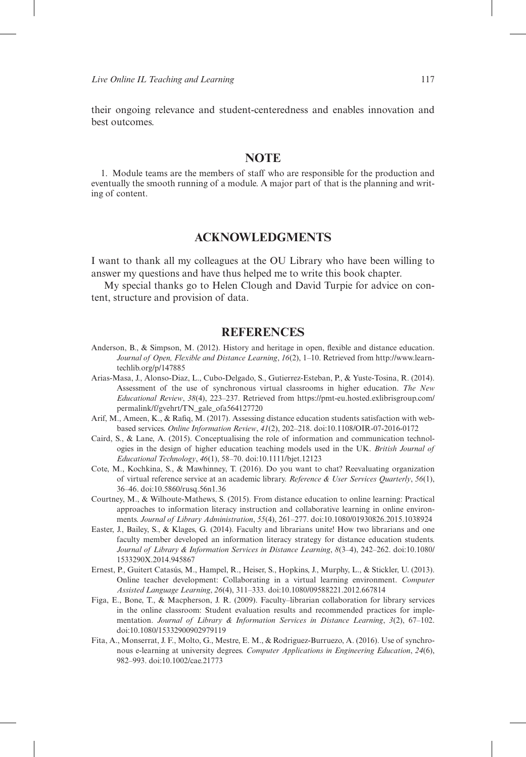their ongoing relevance and student-centeredness and enables innovation and best outcomes.

#### **NOTE**

1. Module teams are the members of staff who are responsible for the production and eventually the smooth running of a module. A major part of that is the planning and writing of content.

#### **Acknowledgments**

I want to thank all my colleagues at the OU Library who have been willing to answer my questions and have thus helped me to write this book chapter.

My special thanks go to Helen Clough and David Turpie for advice on content, structure and provision of data.

#### **References**

- Anderson, B., & Simpson, M. (2012). History and heritage in open, flexible and distance education. *Journal of Open, Flexible and Distance Learning*, *16*(2), 1–10. Retrieved from http://www.learntechlib.org/p/147885
- Arias-Masa, J., Alonso-Diaz, L., Cubo-Delgado, S., Gutierrez-Esteban, P., & Yuste-Tosina, R. (2014). Assessment of the use of synchronous virtual classrooms in higher education. *The New Educational Review*, *38*(4), 223–237. Retrieved from https://pmt-eu.hosted.exlibrisgroup.com/ permalink/f/gvehrt/TN\_gale\_ofa564127720
- Arif, M., Ameen, K., & Rafiq, M. (2017). Assessing distance education students satisfaction with webbased services. *Online Information Review*, *41*(2), 202–218. doi:10.1108/OIR-07-2016-0172
- Caird, S., & Lane, A. (2015). Conceptualising the role of information and communication technologies in the design of higher education teaching models used in the UK. *British Journal of Educational Technology*, *46*(1), 58–70. doi:10.1111/bjet.12123
- Cote, M., Kochkina, S., & Mawhinney, T. (2016). Do you want to chat? Reevaluating organization of virtual reference service at an academic library. *Reference & User Services Quarterly*, *56*(1), 36–46. doi:10.5860/rusq.56n1.36
- Courtney, M., & Wilhoute-Mathews, S. (2015). From distance education to online learning: Practical approaches to information literacy instruction and collaborative learning in online environments. *Journal of Library Administration*, *55*(4), 261–277. doi:10.1080/01930826.2015.1038924
- Easter, J., Bailey, S., & Klages, G. (2014). Faculty and librarians unite! How two librarians and one faculty member developed an information literacy strategy for distance education students. *Journal of Library & Information Services in Distance Learning*, *8*(3–4), 242–262. doi:10.1080/ 1533290X.2014.945867
- Ernest, P., Guitert Catasús, M., Hampel, R., Heiser, S., Hopkins, J., Murphy, L., & Stickler, U. (2013). Online teacher development: Collaborating in a virtual learning environment. *Computer Assisted Language Learning*, *26*(4), 311–333. doi:10.1080/09588221.2012.667814
- Figa, E., Bone, T., & Macpherson, J. R. (2009). Faculty–librarian collaboration for library services in the online classroom: Student evaluation results and recommended practices for implementation. *Journal of Library & Information Services in Distance Learning*, *3*(2), 67–102. doi:10.1080/15332900902979119
- Fita, A., Monserrat, J. F., Molto, G., Mestre, E. M., & Rodriguez-Burruezo, A. (2016). Use of synchronous e-learning at university degrees. *Computer Applications in Engineering Education*, *24*(6), 982–993. doi:10.1002/cae.21773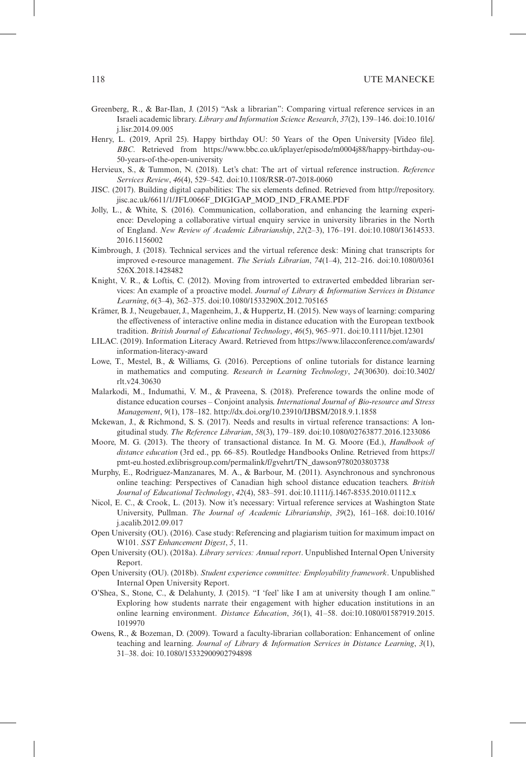- Greenberg, R., & Bar-Ilan, J. (2015) "Ask a librarian": Comparing virtual reference services in an Israeli academic library. *Library and Information Science Research*, *37*(2), 139–146. doi:10.1016/ j.lisr.2014.09.005
- Henry, L. (2019, April 25). Happy birthday OU: 50 Years of the Open University [Video file]. *BBC*. Retrieved from https://www.bbc.co.uk/iplayer/episode/m0004j88/happy-birthday-ou-50-years-of-the-open-university
- Hervieux, S., & Tummon, N. (2018). Let's chat: The art of virtual reference instruction. *Reference Services Review*, *46*(4), 529–542. doi:10.1108/RSR-07-2018-0060
- JISC. (2017). Building digital capabilities: The six elements defined. Retrieved from http://repository. jisc.ac.uk/6611/1/JFL0066F\_DIGIGAP\_MOD\_IND\_FRAME.PDF
- Jolly, L., & White, S. (2016). Communication, collaboration, and enhancing the learning experience: Developing a collaborative virtual enquiry service in university libraries in the North of England. *New Review of Academic Librarianship*, *22*(2–3), 176–191. doi:10.1080/13614533. 2016.1156002
- Kimbrough, J. (2018). Technical services and the virtual reference desk: Mining chat transcripts for improved e-resource management. *The Serials Librarian*, *74*(1–4), 212–216. doi:10.1080/0361 526X.2018.1428482
- Knight, V. R., & Loftis, C. (2012). Moving from introverted to extraverted embedded librarian services: An example of a proactive model. *Journal of Library & Information Services in Distance Learning*, *6*(3–4), 362–375. doi:10.1080/1533290X.2012.705165
- Krämer, B. J., Neugebauer, J., Magenheim, J., & Huppertz, H. (2015). New ways of learning: comparing the effectiveness of interactive online media in distance education with the European textbook tradition. *British Journal of Educational Technology*, *46*(5), 965–971. doi:10.1111/bjet.12301
- LILAC. (2019). Information Literacy Award. Retrieved from https://www.lilacconference.com/awards/ information-literacy-award
- Lowe, T., Mestel, B., & Williams, G. (2016). Perceptions of online tutorials for distance learning in mathematics and computing. *Research in Learning Technology*, *24*(30630). doi:10.3402/ rlt.v24.30630
- Malarkodi, M., Indumathi, V. M., & Praveena, S. (2018). Preference towards the online mode of distance education courses – Conjoint analysis. *International Journal of Bio-resource and Stress Management*, *9*(1), 178–182. http://dx.doi.org/10.23910/IJBSM/2018.9.1.1858
- Mckewan, J., & Richmond, S. S. (2017). Needs and results in virtual reference transactions: A longitudinal study. *The Reference Librarian*, *58*(3), 179–189. doi:10.1080/02763877.2016.1233086
- Moore, M. G. (2013). The theory of transactional distance. In M. G. Moore (Ed.), *Handbook of distance education* (3rd ed., pp. 66–85). Routledge Handbooks Online. Retrieved from https:// pmt-eu.hosted.exlibrisgroup.com/permalink/f/gvehrt/TN\_dawson9780203803738
- Murphy, E., Rodriguez-Manzanares, M. A., & Barbour, M. (2011). Asynchronous and synchronous online teaching: Perspectives of Canadian high school distance education teachers. *British Journal of Educational Technology*, *42*(4), 583–591. doi:10.1111/j.1467-8535.2010.01112.x
- Nicol, E. C., & Crook, L. (2013). Now it's necessary: Virtual reference services at Washington State University, Pullman. *The Journal of Academic Librarianship*, *39*(2), 161–168. doi:10.1016/ j.acalib.2012.09.017
- Open University (OU). (2016). Case study: Referencing and plagiarism tuition for maximum impact on W101. *SST Enhancement Digest*, *5*, 11.
- Open University (OU). (2018a). *Library services: Annual report*. Unpublished Internal Open University Report.
- Open University (OU). (2018b). *Student experience committee: Employability framework*. Unpublished Internal Open University Report.
- O'Shea, S., Stone, C., & Delahunty, J. (2015). "I 'feel' like I am at university though I am online." Exploring how students narrate their engagement with higher education institutions in an online learning environment. *Distance Education*, *36*(1), 41–58. doi:10.1080/01587919.2015. 1019970
- Owens, R., & Bozeman, D. (2009). Toward a faculty-librarian collaboration: Enhancement of online teaching and learning. *Journal of Library & Information Services in Distance Learning*, *3*(1), 31–38. doi: 10.1080/15332900902794898